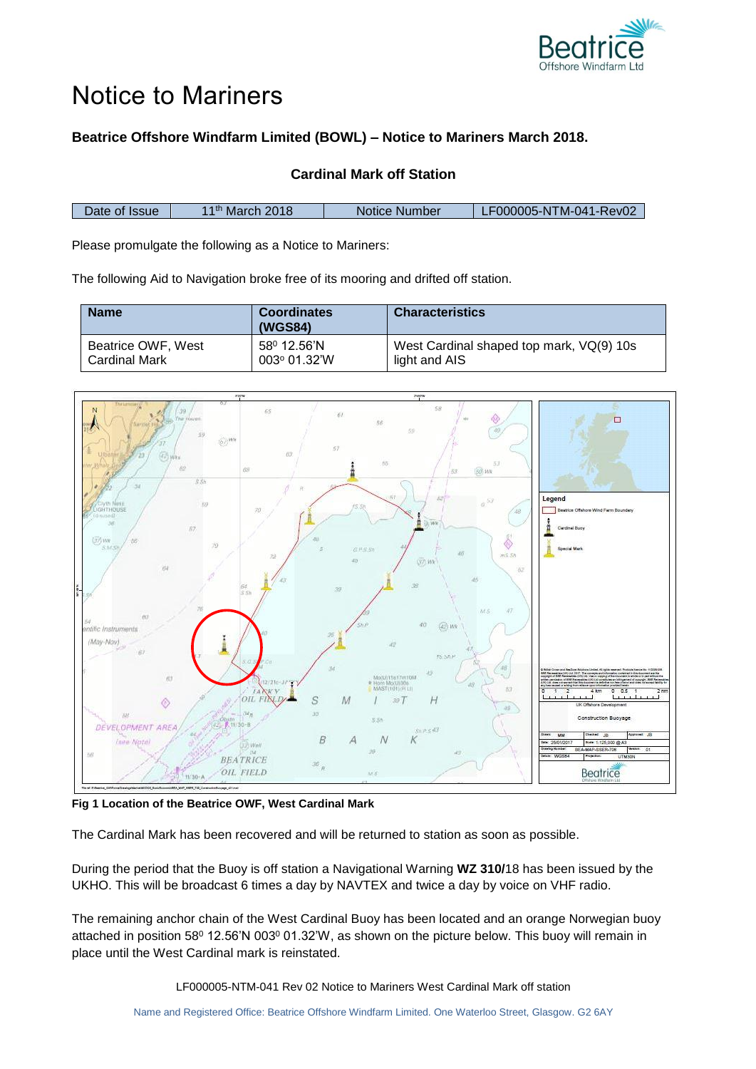

## Notice to Mariners

## **Beatrice Offshore Windfarm Limited (BOWL) – Notice to Mariners March 2018.**

## **Cardinal Mark off Station**

| Date of Issue. | l 1 <sup>th</sup> March 2018 | Notice Number | '_F000005-NTM-041-Rev02 |
|----------------|------------------------------|---------------|-------------------------|

Please promulgate the following as a Notice to Mariners:

The following Aid to Navigation broke free of its mooring and drifted off station.

| <b>Name</b>        | <b>Coordinates</b><br>(WGS84) | <b>Characteristics</b>                   |
|--------------------|-------------------------------|------------------------------------------|
| Beatrice OWF, West | 58 <sup>0</sup> 12.56'N       | West Cardinal shaped top mark, VQ(9) 10s |
| Cardinal Mark      | $003^{\circ}$ 01.32'W         | light and AIS                            |



**Fig 1 Location of the Beatrice OWF, West Cardinal Mark**

The Cardinal Mark has been recovered and will be returned to station as soon as possible.

During the period that the Buoy is off station a Navigational Warning **WZ 310/**18 has been issued by the UKHO. This will be broadcast 6 times a day by NAVTEX and twice a day by voice on VHF radio.

The remaining anchor chain of the West Cardinal Buoy has been located and an orange Norwegian buoy attached in position 58<sup>0</sup> 12.56'N 003<sup>0</sup> 01.32'W, as shown on the picture below. This buoy will remain in place until the West Cardinal mark is reinstated.

LF000005-NTM-041 Rev 02 Notice to Mariners West Cardinal Mark off station